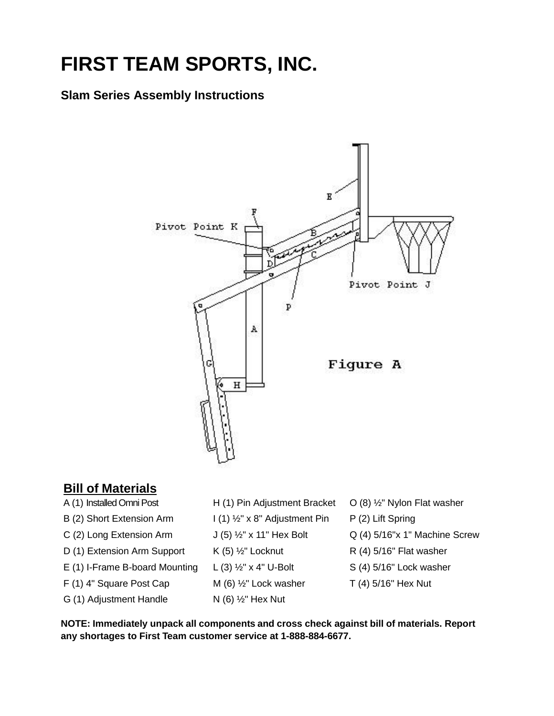## **FIRST TEAM SPORTS, INC.**

## **Slam Series Assembly Instructions**



## **Bill of Materials**

- A (1) Installed Omni Post H (1) Pin Adjustment Bracket O (8) <sup>1/2</sup> Nylon Flat washer B (2) Short Extension Arm I (1) <sup>1</sup>/<sub>2</sub>" x 8" Adjustment Pin P (2) Lift Spring C (2) Long Extension Arm  $J(5)$   $\frac{1}{2}$ " x 11" Hex Bolt Q (4) 5/16"x 1" Machine Screw D (1) Extension Arm Support  $K(5)$   $\frac{1}{2}$ " Locknut R (4) 5/16" Flat washer E (1) I-Frame B-board Mounting L (3)  $\frac{1}{2}$ " x 4" U-Bolt S (4) 5/16" Lock washer F (1) 4" Square Post Cap  $M(6)$   $\frac{1}{2}$ " Lock washer  $T(4)$  5/16" Hex Nut G (1) Adjustment Handle  $N(6)$  %" Hex Nut
	-
	-
	-
	-
	-
	-

**NOTE: Immediately unpack all components and cross check against bill of materials. Report any shortages to First Team customer service at 1-888-884-6677.**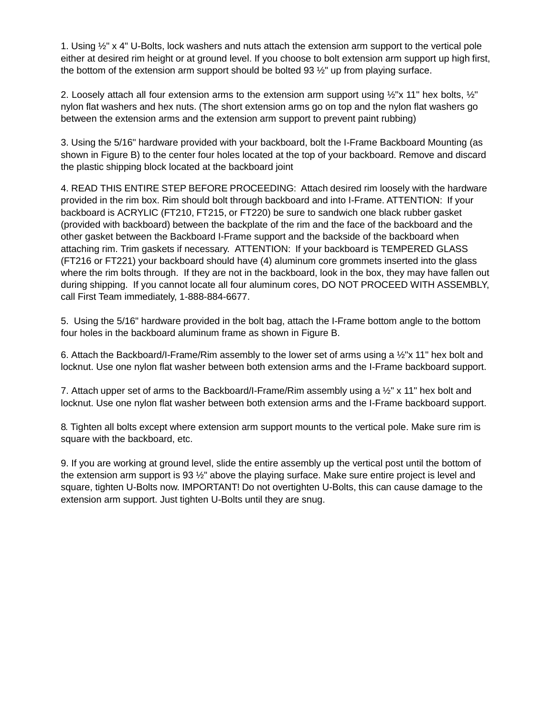1. Using  $\frac{1}{2}$ " x 4" U-Bolts, lock washers and nuts attach the extension arm support to the vertical pole either at desired rim height or at ground level. If you choose to bolt extension arm support up high first, the bottom of the extension arm support should be bolted  $93\frac{1}{2}$ " up from playing surface.

2. Loosely attach all four extension arms to the extension arm support using  $\frac{1}{2}$ "x 11" hex bolts,  $\frac{1}{2}$ " nylon flat washers and hex nuts. (The short extension arms go on top and the nylon flat washers go between the extension arms and the extension arm support to prevent paint rubbing)

3. Using the 5/16" hardware provided with your backboard, bolt the I-Frame Backboard Mounting (as shown in Figure B) to the center four holes located at the top of your backboard. Remove and discard the plastic shipping block located at the backboard joint

4. READ THIS ENTIRE STEP BEFORE PROCEEDING: Attach desired rim loosely with the hardware provided in the rim box. Rim should bolt through backboard and into I-Frame. ATTENTION: If your backboard is ACRYLIC (FT210, FT215, or FT220) be sure to sandwich one black rubber gasket (provided with backboard) between the backplate of the rim and the face of the backboard and the other gasket between the Backboard I-Frame support and the backside of the backboard when attaching rim. Trim gaskets if necessary. ATTENTION: If your backboard is TEMPERED GLASS (FT216 or FT221) your backboard should have (4) aluminum core grommets inserted into the glass where the rim bolts through. If they are not in the backboard, look in the box, they may have fallen out during shipping. If you cannot locate all four aluminum cores, DO NOT PROCEED WITH ASSEMBLY, call First Team immediately, 1-888-884-6677.

5. Using the 5/16" hardware provided in the bolt bag, attach the I-Frame bottom angle to the bottom four holes in the backboard aluminum frame as shown in Figure B.

6. Attach the Backboard/I-Frame/Rim assembly to the lower set of arms using a ½"x 11" hex bolt and locknut. Use one nylon flat washer between both extension arms and the I-Frame backboard support.

7. Attach upper set of arms to the Backboard/I-Frame/Rim assembly using a  $\frac{1}{2}$ " x 11" hex bolt and locknut. Use one nylon flat washer between both extension arms and the I-Frame backboard support.

8. Tighten all bolts except where extension arm support mounts to the vertical pole. Make sure rim is square with the backboard, etc.

9. If you are working at ground level, slide the entire assembly up the vertical post until the bottom of the extension arm support is 93 ½" above the playing surface. Make sure entire project is level and square, tighten U-Bolts now. IMPORTANT! Do not overtighten U-Bolts, this can cause damage to the extension arm support. Just tighten U-Bolts until they are snug.